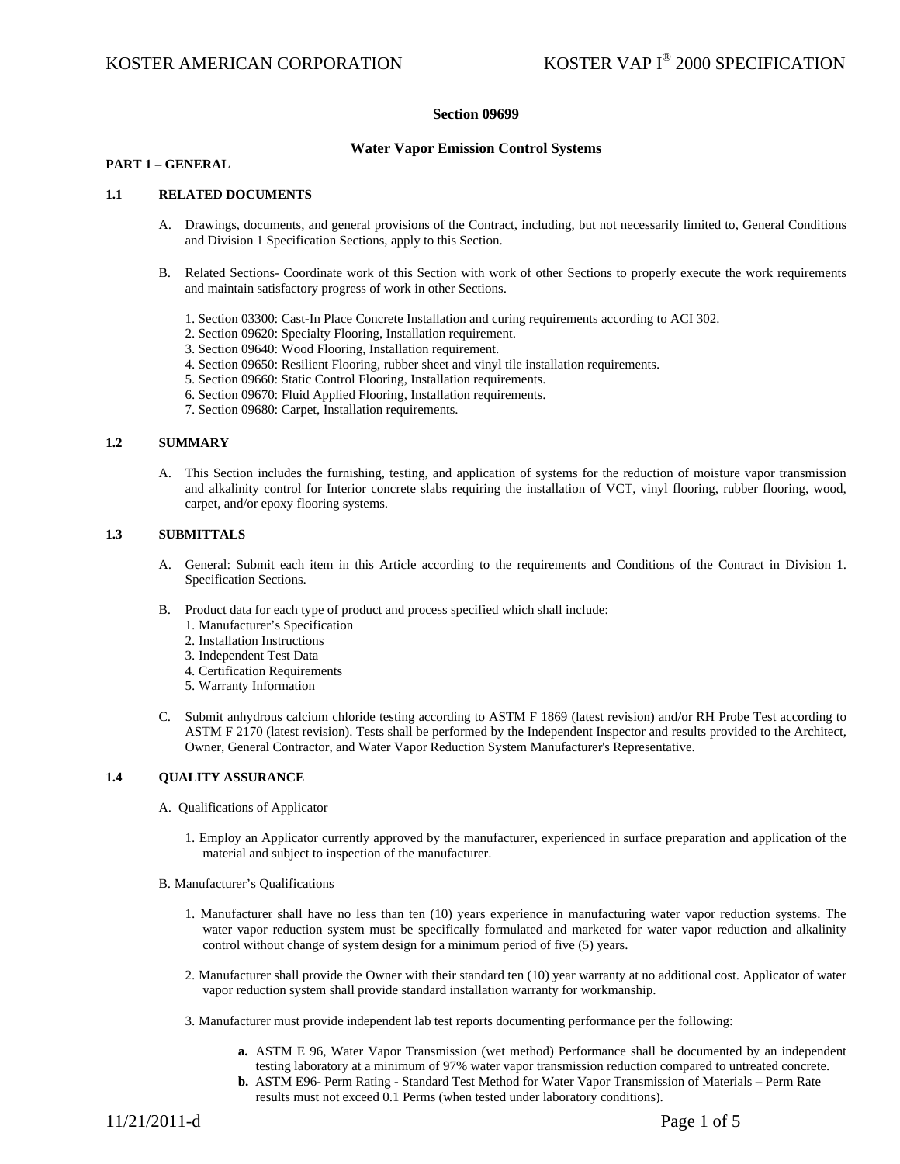## **Section 09699**

## **Water Vapor Emission Control Systems**

## **PART 1 – GENERAL**

### **1.1 RELATED DOCUMENTS**

- A. Drawings, documents, and general provisions of the Contract, including, but not necessarily limited to, General Conditions and Division 1 Specification Sections, apply to this Section.
- B. Related Sections- Coordinate work of this Section with work of other Sections to properly execute the work requirements and maintain satisfactory progress of work in other Sections.
	- 1. Section 03300: Cast-In Place Concrete Installation and curing requirements according to ACI 302.
	- 2. Section 09620: Specialty Flooring, Installation requirement.
	- 3. Section 09640: Wood Flooring, Installation requirement.
	- 4. Section 09650: Resilient Flooring, rubber sheet and vinyl tile installation requirements.
	- 5. Section 09660: Static Control Flooring, Installation requirements.
	- 6. Section 09670: Fluid Applied Flooring, Installation requirements.
	- 7. Section 09680: Carpet, Installation requirements.

### **1.2 SUMMARY**

A. This Section includes the furnishing, testing, and application of systems for the reduction of moisture vapor transmission and alkalinity control for Interior concrete slabs requiring the installation of VCT, vinyl flooring, rubber flooring, wood, carpet, and/or epoxy flooring systems.

## **1.3 SUBMITTALS**

- A. General: Submit each item in this Article according to the requirements and Conditions of the Contract in Division 1. Specification Sections.
- B. Product data for each type of product and process specified which shall include:
	- 1. Manufacturer's Specification
	- 2. Installation Instructions
	- 3. Independent Test Data
	- 4. Certification Requirements
	- 5. Warranty Information
- C. Submit anhydrous calcium chloride testing according to ASTM F 1869 (latest revision) and/or RH Probe Test according to ASTM F 2170 (latest revision). Tests shall be performed by the Independent Inspector and results provided to the Architect, Owner, General Contractor, and Water Vapor Reduction System Manufacturer's Representative.

## **1.4 QUALITY ASSURANCE**

- A. Qualifications of Applicator
	- 1. Employ an Applicator currently approved by the manufacturer, experienced in surface preparation and application of the material and subject to inspection of the manufacturer.
- B. Manufacturer's Qualifications
	- 1. Manufacturer shall have no less than ten (10) years experience in manufacturing water vapor reduction systems. The water vapor reduction system must be specifically formulated and marketed for water vapor reduction and alkalinity control without change of system design for a minimum period of five (5) years.
	- 2. Manufacturer shall provide the Owner with their standard ten (10) year warranty at no additional cost. Applicator of water vapor reduction system shall provide standard installation warranty for workmanship.
	- 3. Manufacturer must provide independent lab test reports documenting performance per the following:
		- **a.** ASTM E 96, Water Vapor Transmission (wet method) Performance shall be documented by an independent testing laboratory at a minimum of 97% water vapor transmission reduction compared to untreated concrete.
		- **b.** ASTM E96- Perm Rating Standard Test Method for Water Vapor Transmission of Materials Perm Rate results must not exceed 0.1 Perms (when tested under laboratory conditions).

11/21/2011-d Page 1 of 5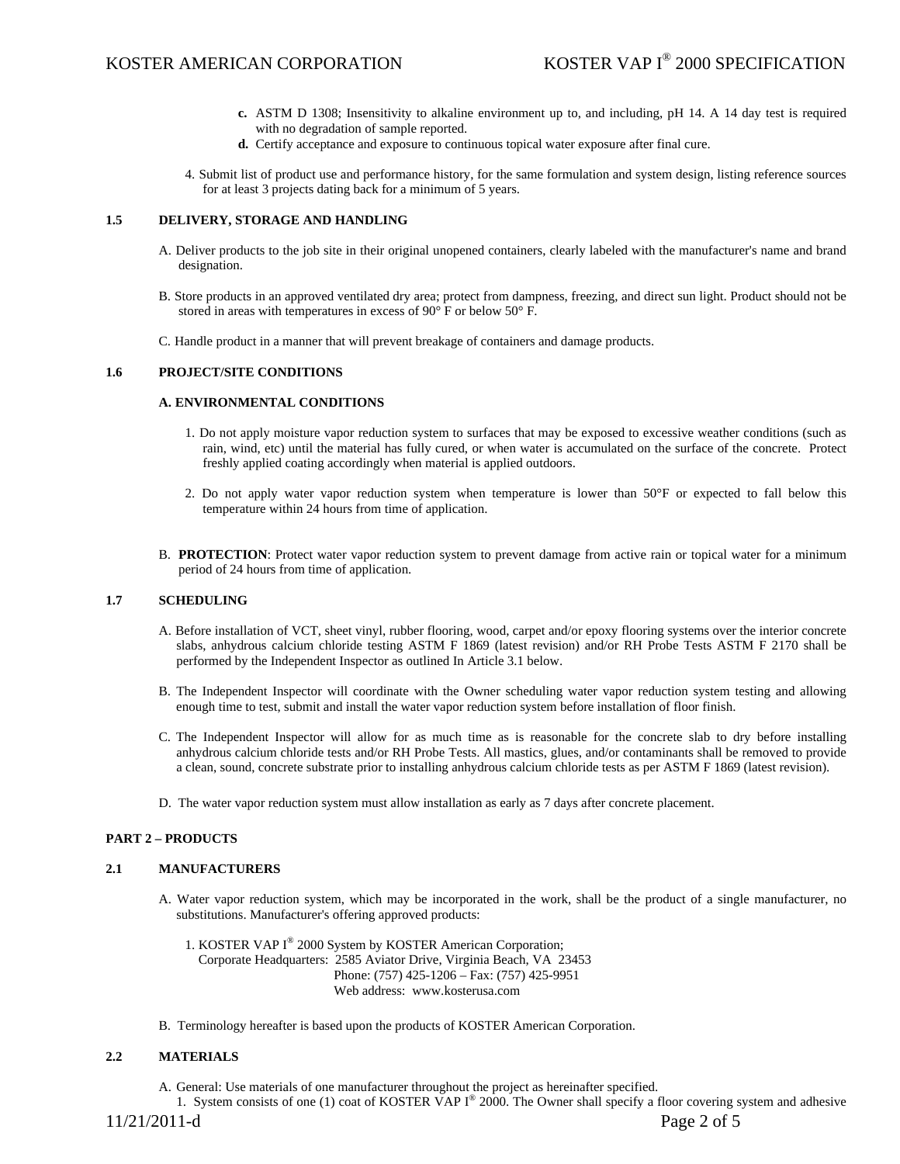- **c.** ASTM D 1308; Insensitivity to alkaline environment up to, and including, pH 14. A 14 day test is required with no degradation of sample reported.
- **d.** Certify acceptance and exposure to continuous topical water exposure after final cure.
- 4. Submit list of product use and performance history, for the same formulation and system design, listing reference sources for at least 3 projects dating back for a minimum of 5 years.

## **1.5 DELIVERY, STORAGE AND HANDLING**

- A. Deliver products to the job site in their original unopened containers, clearly labeled with the manufacturer's name and brand designation.
- B. Store products in an approved ventilated dry area; protect from dampness, freezing, and direct sun light. Product should not be stored in areas with temperatures in excess of 90° F or below 50° F.
- C. Handle product in a manner that will prevent breakage of containers and damage products.

### **1.6 PROJECT/SITE CONDITIONS**

#### **A. ENVIRONMENTAL CONDITIONS**

- 1. Do not apply moisture vapor reduction system to surfaces that may be exposed to excessive weather conditions (such as rain, wind, etc) until the material has fully cured, or when water is accumulated on the surface of the concrete. Protect freshly applied coating accordingly when material is applied outdoors.
- 2. Do not apply water vapor reduction system when temperature is lower than 50°F or expected to fall below this temperature within 24 hours from time of application.
- B. **PROTECTION**: Protect water vapor reduction system to prevent damage from active rain or topical water for a minimum period of 24 hours from time of application.

### **1.7 SCHEDULING**

- A. Before installation of VCT, sheet vinyl, rubber flooring, wood, carpet and/or epoxy flooring systems over the interior concrete slabs, anhydrous calcium chloride testing ASTM F 1869 (latest revision) and/or RH Probe Tests ASTM F 2170 shall be performed by the Independent Inspector as outlined In Article 3.1 below.
- B. The Independent Inspector will coordinate with the Owner scheduling water vapor reduction system testing and allowing enough time to test, submit and install the water vapor reduction system before installation of floor finish.
- C. The Independent Inspector will allow for as much time as is reasonable for the concrete slab to dry before installing anhydrous calcium chloride tests and/or RH Probe Tests. All mastics, glues, and/or contaminants shall be removed to provide a clean, sound, concrete substrate prior to installing anhydrous calcium chloride tests as per ASTM F 1869 (latest revision).
- D. The water vapor reduction system must allow installation as early as 7 days after concrete placement.

#### **PART 2 – PRODUCTS**

#### **2.1 MANUFACTURERS**

- A. Water vapor reduction system, which may be incorporated in the work, shall be the product of a single manufacturer, no substitutions. Manufacturer's offering approved products:
	- 1. KOSTER VAP I® 2000 System by KOSTER American Corporation; Corporate Headquarters: 2585 Aviator Drive, Virginia Beach, VA 23453 Phone: (757) 425-1206 – Fax: (757) 425-9951 Web address: www.kosterusa.com
- B. Terminology hereafter is based upon the products of KOSTER American Corporation.

## **2.2 MATERIALS**

A. General: Use materials of one manufacturer throughout the project as hereinafter specified.

1. System consists of one (1) coat of KOSTER VAP  $I^{\circledast}$  2000. The Owner shall specify a floor covering system and adhesive

11/21/2011-d Page 2 of 5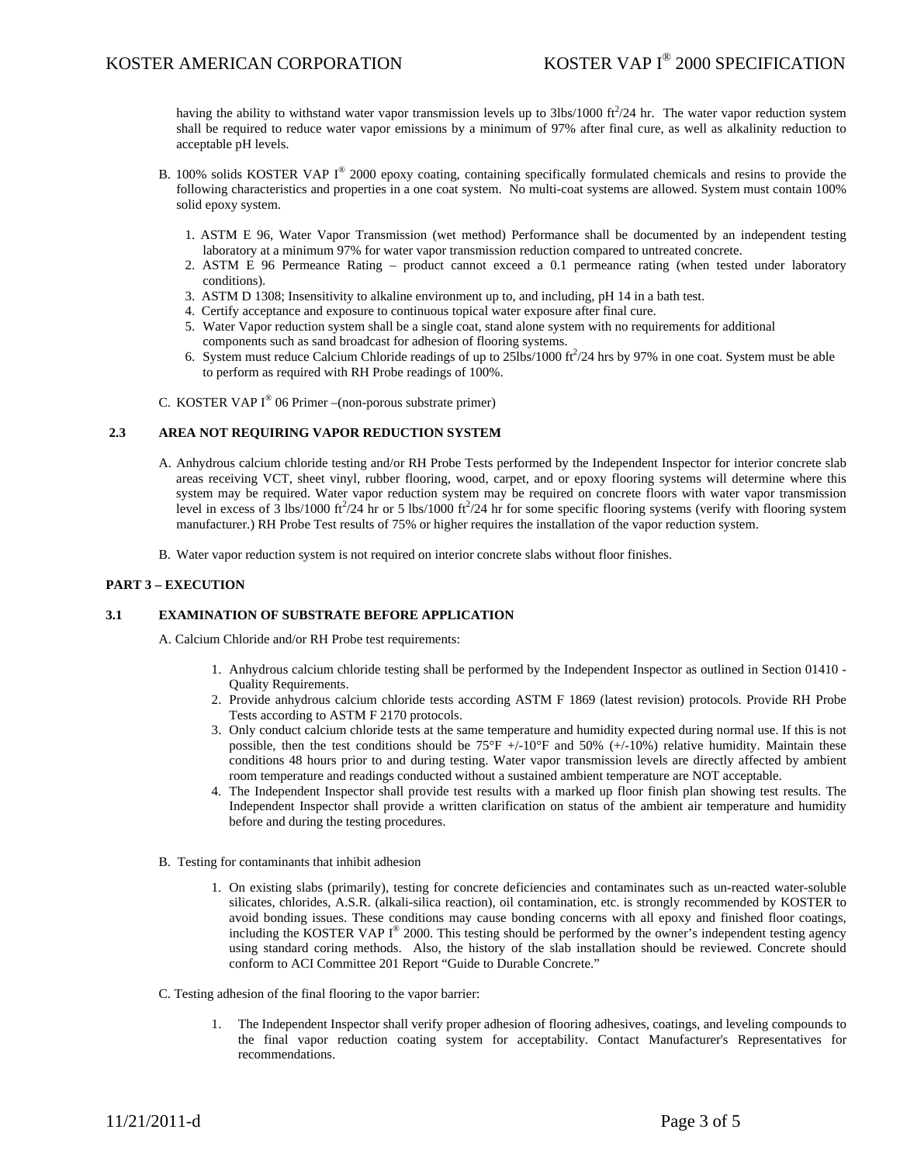having the ability to withstand water vapor transmission levels up to  $3\text{lbs}/1000 \text{ ft}^2/24 \text{ hr}$ . The water vapor reduction system shall be required to reduce water vapor emissions by a minimum of 97% after final cure, as well as alkalinity reduction to acceptable pH levels.

- B. 100% solids KOSTER VAP  $I^{\circledast}$  2000 epoxy coating, containing specifically formulated chemicals and resins to provide the following characteristics and properties in a one coat system. No multi-coat systems are allowed. System must contain 100% solid epoxy system.
	- 1. ASTM E 96, Water Vapor Transmission (wet method) Performance shall be documented by an independent testing laboratory at a minimum 97% for water vapor transmission reduction compared to untreated concrete.
	- 2. ASTM E 96 Permeance Rating product cannot exceed a 0.1 permeance rating (when tested under laboratory conditions).
	- 3. ASTM D 1308; Insensitivity to alkaline environment up to, and including, pH 14 in a bath test.
	- 4. Certify acceptance and exposure to continuous topical water exposure after final cure.
	- 5. Water Vapor reduction system shall be a single coat, stand alone system with no requirements for additional components such as sand broadcast for adhesion of flooring systems.
	- 6. System must reduce Calcium Chloride readings of up to  $25$ lbs/1000 ft $^2$ /24 hrs by 97% in one coat. System must be able to perform as required with RH Probe readings of 100%.
- C. KOSTER VAP  $I^{\circledast}$  06 Primer –(non-porous substrate primer)

## **2.3 AREA NOT REQUIRING VAPOR REDUCTION SYSTEM**

- A. Anhydrous calcium chloride testing and/or RH Probe Tests performed by the Independent Inspector for interior concrete slab areas receiving VCT, sheet vinyl, rubber flooring, wood, carpet, and or epoxy flooring systems will determine where this system may be required. Water vapor reduction system may be required on concrete floors with water vapor transmission level in excess of  $\hat{3}$  lbs/1000 ft<sup>2</sup>/24 hr or 5 lbs/1000 ft<sup>2</sup>/24 hr for some specific flooring systems (verify with flooring system manufacturer.) RH Probe Test results of 75% or higher requires the installation of the vapor reduction system.
- B. Water vapor reduction system is not required on interior concrete slabs without floor finishes.

## **PART 3 – EXECUTION**

## **3.1 EXAMINATION OF SUBSTRATE BEFORE APPLICATION**

A. Calcium Chloride and/or RH Probe test requirements:

- 1. Anhydrous calcium chloride testing shall be performed by the Independent Inspector as outlined in Section 01410 Quality Requirements.
- 2. Provide anhydrous calcium chloride tests according ASTM F 1869 (latest revision) protocols. Provide RH Probe Tests according to ASTM F 2170 protocols.
- 3. Only conduct calcium chloride tests at the same temperature and humidity expected during normal use. If this is not possible, then the test conditions should be  $75^{\circ}F$  +/-10°F and 50% (+/-10%) relative humidity. Maintain these conditions 48 hours prior to and during testing. Water vapor transmission levels are directly affected by ambient room temperature and readings conducted without a sustained ambient temperature are NOT acceptable.
- 4. The Independent Inspector shall provide test results with a marked up floor finish plan showing test results. The Independent Inspector shall provide a written clarification on status of the ambient air temperature and humidity before and during the testing procedures.
- B. Testing for contaminants that inhibit adhesion
	- 1. On existing slabs (primarily), testing for concrete deficiencies and contaminates such as un-reacted water-soluble silicates, chlorides, A.S.R. (alkali-silica reaction), oil contamination, etc. is strongly recommended by KOSTER to avoid bonding issues. These conditions may cause bonding concerns with all epoxy and finished floor coatings, including the KOSTER VAP  $I^{\circ}$  2000. This testing should be performed by the owner's independent testing agency using standard coring methods. Also, the history of the slab installation should be reviewed. Concrete should conform to ACI Committee 201 Report "Guide to Durable Concrete."
- C. Testing adhesion of the final flooring to the vapor barrier:
	- 1. The Independent Inspector shall verify proper adhesion of flooring adhesives, coatings, and leveling compounds to the final vapor reduction coating system for acceptability. Contact Manufacturer's Representatives for recommendations.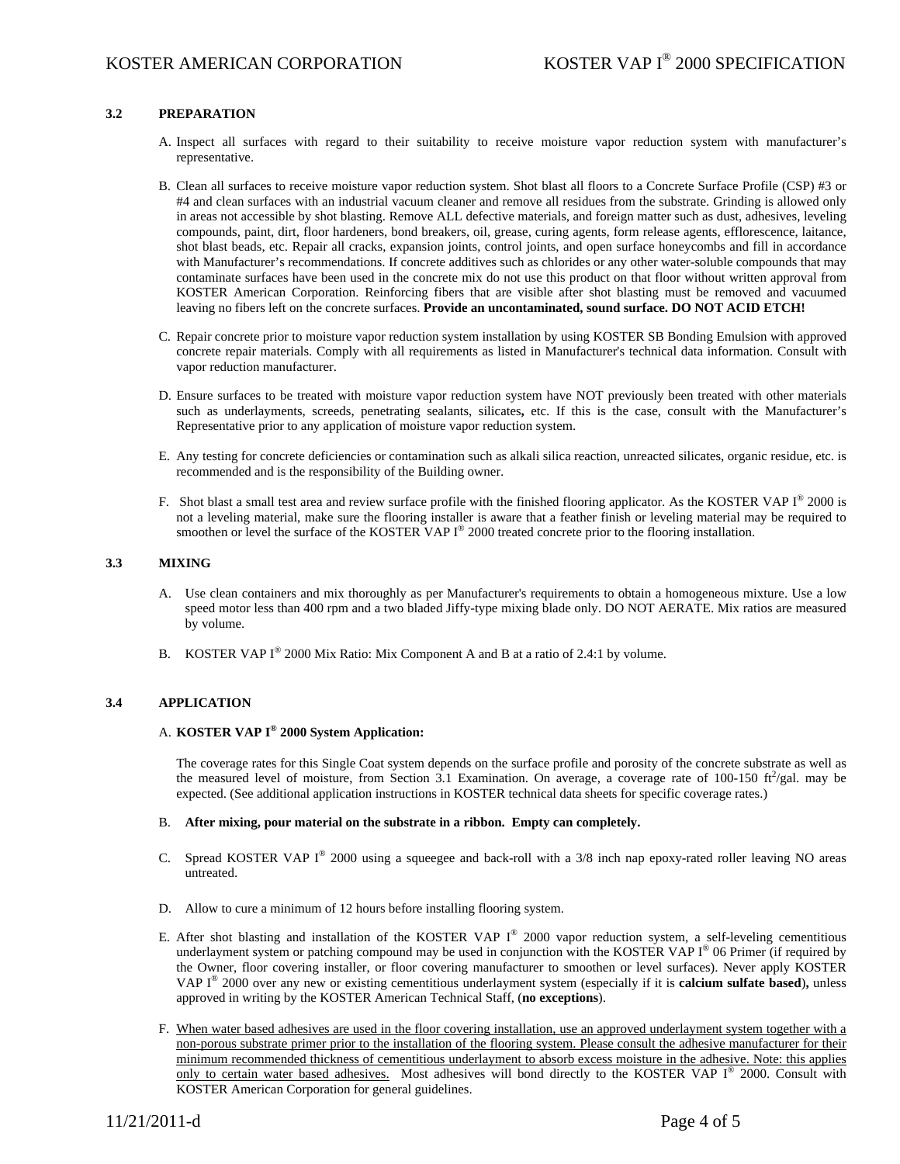## **3.2 PREPARATION**

- A. Inspect all surfaces with regard to their suitability to receive moisture vapor reduction system with manufacturer's representative.
- B. Clean all surfaces to receive moisture vapor reduction system. Shot blast all floors to a Concrete Surface Profile (CSP) #3 or #4 and clean surfaces with an industrial vacuum cleaner and remove all residues from the substrate. Grinding is allowed only in areas not accessible by shot blasting. Remove ALL defective materials, and foreign matter such as dust, adhesives, leveling compounds, paint, dirt, floor hardeners, bond breakers, oil, grease, curing agents, form release agents, efflorescence, laitance, shot blast beads, etc. Repair all cracks, expansion joints, control joints, and open surface honeycombs and fill in accordance with Manufacturer's recommendations. If concrete additives such as chlorides or any other water-soluble compounds that may contaminate surfaces have been used in the concrete mix do not use this product on that floor without written approval from KOSTER American Corporation. Reinforcing fibers that are visible after shot blasting must be removed and vacuumed leaving no fibers left on the concrete surfaces. **Provide an uncontaminated, sound surface. DO NOT ACID ETCH!**
- C. Repair concrete prior to moisture vapor reduction system installation by using KOSTER SB Bonding Emulsion with approved concrete repair materials. Comply with all requirements as listed in Manufacturer's technical data information. Consult with vapor reduction manufacturer.
- D. Ensure surfaces to be treated with moisture vapor reduction system have NOT previously been treated with other materials such as underlayments, screeds, penetrating sealants, silicates**,** etc. If this is the case, consult with the Manufacturer's Representative prior to any application of moisture vapor reduction system.
- E. Any testing for concrete deficiencies or contamination such as alkali silica reaction, unreacted silicates, organic residue, etc. is recommended and is the responsibility of the Building owner.
- F. Shot blast a small test area and review surface profile with the finished flooring applicator. As the KOSTER VAP I® 2000 is not a leveling material, make sure the flooring installer is aware that a feather finish or leveling material may be required to smoothen or level the surface of the KOSTER VAP I<sup>®</sup> 2000 treated concrete prior to the flooring installation.

### **3.3 MIXING**

- A. Use clean containers and mix thoroughly as per Manufacturer's requirements to obtain a homogeneous mixture. Use a low speed motor less than 400 rpm and a two bladed Jiffy-type mixing blade only. DO NOT AERATE. Mix ratios are measured by volume.
- B. KOSTER VAP I<sup>®</sup> 2000 Mix Ratio: Mix Component A and B at a ratio of 2.4:1 by volume.

### **3.4 APPLICATION**

# A. **KOSTER VAP I® 2000 System Application:**

The coverage rates for this Single Coat system depends on the surface profile and porosity of the concrete substrate as well as the measured level of moisture, from Section 3.1 Examination. On average, a coverage rate of 100-150  $\text{ft}^2/\text{gal}$ . may be expected. (See additional application instructions in KOSTER technical data sheets for specific coverage rates.)

## B. **After mixing, pour material on the substrate in a ribbon. Empty can completely.**

- C. Spread KOSTER VAP I® 2000 using a squeegee and back-roll with a 3/8 inch nap epoxy-rated roller leaving NO areas untreated.
- D. Allow to cure a minimum of 12 hours before installing flooring system.
- E. After shot blasting and installation of the KOSTER VAP I<sup>®</sup> 2000 vapor reduction system, a self-leveling cementitious underlayment system or patching compound may be used in conjunction with the KOSTER VAP  $I^{\circledast}$  06 Primer (if required by the Owner, floor covering installer, or floor covering manufacturer to smoothen or level surfaces). Never apply KOSTER VAP I® 2000 over any new or existing cementitious underlayment system (especially if it is **calcium sulfate based**)**,** unless approved in writing by the KOSTER American Technical Staff, (**no exceptions**).
- F. When water based adhesives are used in the floor covering installation, use an approved underlayment system together with a non-porous substrate primer prior to the installation of the flooring system. Please consult the adhesive manufacturer for their minimum recommended thickness of cementitious underlayment to absorb excess moisture in the adhesive. Note: this applies only to certain water based adhesives. Most adhesives will bond directly to the KOSTER VAP I® 2000. Consult with KOSTER American Corporation for general guidelines.